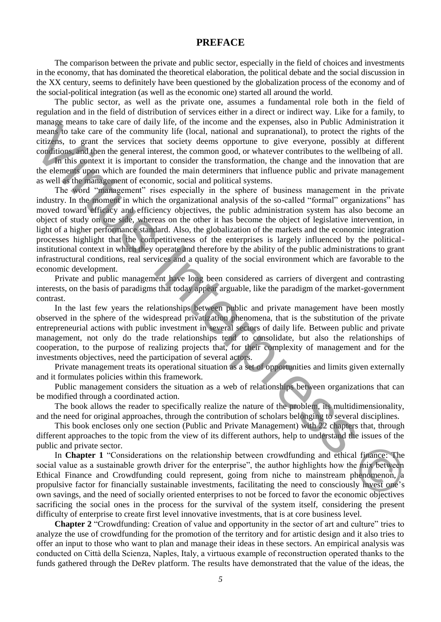## **PREFACE**

The comparison between the private and public sector, especially in the field of choices and investments in the economy, that has dominated the theoretical elaboration, the political debate and the social discussion in the XX century, seems to definitely have been questioned by the globalization process of the economy and of the social-political integration (as well as the economic one) started all around the world.

The public sector, as well as the private one, assumes a fundamental role both in the field of regulation and in the field of distribution of services either in a direct or indirect way. Like for a family, to manage means to take care of daily life, of the income and the expenses, also in Public Administration it means to take care of the community life (local, national and supranational), to protect the rights of the citizens, to grant the services that society deems opportune to give everyone, possibly at different conditions, and then the general interest, the common good, or whatever contributes to the wellbeing of all.

In this context it is important to consider the transformation, the change and the innovation that are the elements upon which are founded the main determiners that influence public and private management as well as the management of economic, social and political systems.

The word "management" rises especially in the sphere of business management in the private industry. In the moment in which the organizational analysis of the so-called "formal" organizations" has moved toward efficacy and efficiency objectives, the public administration system has also become an object of study on one side, whereas on the other it has become the object of legislative intervention, in light of a higher performance standard. Also, the globalization of the markets and the economic integration processes highlight that the competitiveness of the enterprises is largely influenced by the politicalinstitutional context in which they operate and therefore by the ability of the public administrations to grant infrastructural conditions, real services and a quality of the social environment which are favorable to the economic development. manns to take car or cany inter or the moons can be repressed, and in comparison in the section of the most case of the community fife (bcal, matimal and supramional), to protect the rights of the circular, to general the

Private and public management have long been considered as carriers of divergent and contrasting interests, on the basis of paradigms that today appear arguable, like the paradigm of the market-government contrast.

In the last few years the relationships between public and private management have been mostly observed in the sphere of the widespread privatization phenomena, that is the substitution of the private entrepreneurial actions with public investment in several sectors of daily life. Between public and private management, not only do the trade relationships tend to consolidate, but also the relationships of cooperation, to the purpose of realizing projects that, for their complexity of management and for the investments objectives, need the participation of several actors.

Private management treats its operational situation as a set of opportunities and limits given externally and it formulates policies within this framework.

Public management considers the situation as a web of relationships between organizations that can be modified through a coordinated action.

The book allows the reader to specifically realize the nature of the problem, its multidimensionality, and the need for original approaches, through the contribution of scholars belonging to several disciplines.

This book encloses only one section (Public and Private Management) with 22 chapters that, through different approaches to the topic from the view of its different authors, help to understand the issues of the public and private sector.

In **Chapter 1** "Considerations on the relationship between crowdfunding and ethical finance: The social value as a sustainable growth driver for the enterprise", the author highlights how the mix between Ethical Finance and Crowdfunding could represent, going from niche to mainstream phenomenon, a propulsive factor for financially sustainable investments, facilitating the need to consciously invest one's own savings, and the need of socially oriented enterprises to not be forced to favor the economic objectives sacrificing the social ones in the process for the survival of the system itself, considering the present difficulty of enterprise to create first level innovative investments, that is at core business level.

**Chapter 2** "Crowdfunding: Creation of value and opportunity in the sector of art and culture" tries to analyze the use of crowdfunding for the promotion of the territory and for artistic design and it also tries to offer an input to those who want to plan and manage their ideas in these sectors. An empirical analysis was conducted on Città della Scienza, Naples, Italy, a virtuous example of reconstruction operated thanks to the funds gathered through the DeRev platform. The results have demonstrated that the value of the ideas, the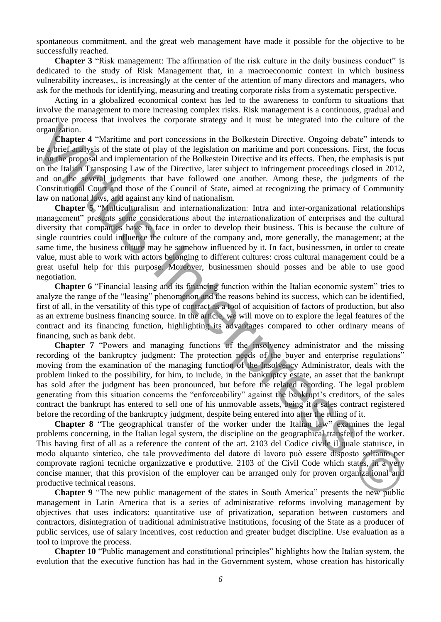spontaneous commitment, and the great web management have made it possible for the objective to be successfully reached.

**Chapter 3** "Risk management: The affirmation of the risk culture in the daily business conduct" is dedicated to the study of Risk Management that, in a macroeconomic context in which business vulnerability increases,, is increasingly at the center of the attention of many directors and managers, who ask for the methods for identifying, measuring and treating corporate risks from a systematic perspective.

Acting in a globalized economical context has led to the awareness to conform to situations that involve the management to more increasing complex risks. Risk management is a continuous, gradual and proactive process that involves the corporate strategy and it must be integrated into the culture of the organization.

**Chapter 4** "Maritime and port concessions in the Bolkestein Directive. Ongoing debate" intends to be a brief analysis of the state of play of the legislation on maritime and port concessions. First, the focus in on the proposal and implementation of the Bolkestein Directive and its effects. Then, the emphasis is put on the Italian Transposing Law of the Directive, later subject to infringement proceedings closed in 2012, and on the several judgments that have followed one another. Among these, the judgments of the Constitutional Court and those of the Council of State, aimed at recognizing the primacy of Community law on national laws, and against any kind of nationalism.

**Chapter 5** "Multiculturalism and internationalization: Intra and inter-organizational relationships management" presents some considerations about the internationalization of enterprises and the cultural diversity that companies have to face in order to develop their business. This is because the culture of single countries could influence the culture of the company and, more generally, the management; at the same time, the business culture may be somehow influenced by it. In fact, businessmen, in order to create value, must able to work with actors belonging to different cultures: cross cultural management could be a great useful help for this purpose. Moreover, businessmen should posses and be able to use good negotiation. Frame **C** (b) the formal material of the leadstotic Directive. Ongoing dohate" interests to the shield and part onessigns in the Bolkstacin Directive. Ongoing dohate" interests to the shield and part of the leadstotic one

**Chapter 6** "Financial leasing and its financing function within the Italian economic system" tries to analyze the range of the "leasing" phenomenon and the reasons behind its success, which can be identified, first of all, in the versatility of this type of contract as a tool of acquisition of factors of production, but also as an extreme business financing source. In the article, we will move on to explore the legal features of the contract and its financing function, highlighting its advantages compared to other ordinary means of financing, such as bank debt.

**Chapter 7** "Powers and managing functions of the insolvency administrator and the missing recording of the bankruptcy judgment: The protection needs of the buyer and enterprise regulations" moving from the examination of the managing function of the Insolvency Administrator, deals with the problem linked to the possibility, for him, to include, in the bankruptcy estate, an asset that the bankrupt has sold after the judgment has been pronounced, but before the related recording. The legal problem generating from this situation concerns the "enforceability" against the bankrupt's creditors, of the sales contract the bankrupt has entered to sell one of his unmovable assets, being it a sales contract registered before the recording of the bankruptcy judgment, despite being entered into after the ruling of it.

**Chapter 8** "The geographical transfer of the worker under the Italian law**"** examines the legal problems concerning, in the Italian legal system, the discipline on the geographical transfer of the worker. This having first of all as a reference the content of the art. 2103 del Codice civile il quale statuisce, in modo alquanto sintetico, che tale provvedimento del datore di lavoro può essere disposto soltanto per comprovate ragioni tecniche organizzative e produttive. 2103 of the Civil Code which states, in a very concise manner, that this provision of the employer can be arranged only for proven organizational and productive technical reasons.

**Chapter 9** "The new public management of the states in South America" presents the new public management in Latin America that is a series of administrative reforms involving management by objectives that uses indicators: quantitative use of privatization, separation between customers and contractors, disintegration of traditional administrative institutions, focusing of the State as a producer of public services, use of salary incentives, cost reduction and greater budget discipline. Use evaluation as a tool to improve the process.

**Chapter 10** "Public management and constitutional principles" highlights how the Italian system, the evolution that the executive function has had in the Government system, whose creation has historically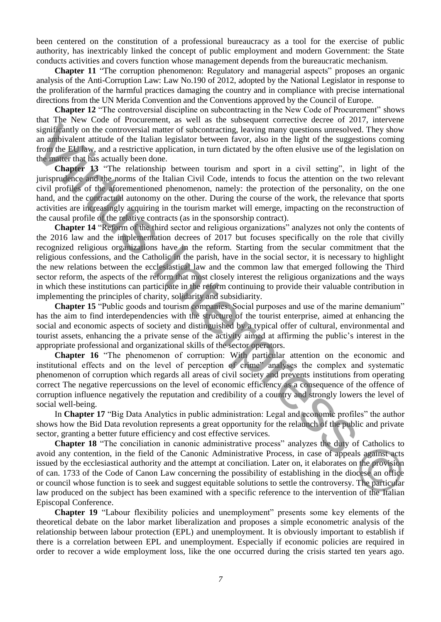been centered on the constitution of a professional bureaucracy as a tool for the exercise of public authority, has inextricably linked the concept of public employment and modern Government: the State conducts activities and covers function whose management depends from the bureaucratic mechanism.

**Chapter 11** "The corruption phenomenon: Regulatory and managerial aspects" proposes an organic analysis of the Anti-Corruption Law: Law No.190 of 2012, adopted by the National Legislator in response to the proliferation of the harmful practices damaging the country and in compliance with precise international directions from the UN Merida Convention and the Conventions approved by the Council of Europe.

**Chapter 12** "The controversial discipline on subcontracting in the New Code of Procurement" shows that The New Code of Procurement, as well as the subsequent corrective decree of 2017, intervene significantly on the controversial matter of subcontracting, leaving many questions unresolved. They show an ambivalent attitude of the Italian legislator between favor, also in the light of the suggestions coming from the EU law, and a restrictive application, in turn dictated by the often elusive use of the legislation on the matter that has actually been done.

**Chapter 13** "The relationship between tourism and sport in a civil setting", in light of the jurisprudence and the norms of the Italian Civil Code, intends to focus the attention on the two relevant civil profiles of the aforementioned phenomenon, namely: the protection of the personality, on the one hand, and the contractual autonomy on the other. During the course of the work, the relevance that sports activities are increasingly acquiring in the tourism market will emerge, impacting on the reconstruction of the causal profile of the relative contracts (as in the sponsorship contract).

**Chapter 14** "Reform of the third sector and religious organizations" analyzes not only the contents of the 2016 law and the implementation decrees of 2017 but focuses specifically on the role that civilly recognized religious organizations have in the reform. Starting from the secular commitment that the religious confessions, and the Catholic in the parish, have in the social sector, it is necessary to highlight the new relations between the ecclesiastical law and the common law that emerged following the Third sector reform, the aspects of the reform that most closely interest the religious organizations and the ways in which these institutions can participate in the reform continuing to provide their valuable contribution in implementing the principles of charity, solidarity and subsidiarity. stantially on the controversial matter of subcommeting, leaving many questions are subcommetically the probe and any interpret in the standard and any interpret of the matter of the standard and any interpret of the matte

**Chapter 15** "Public goods and tourism companies: Social purposes and use of the marine demanium" has the aim to find interdependencies with the structure of the tourist enterprise, aimed at enhancing the social and economic aspects of society and distinguished by a typical offer of cultural, environmental and tourist assets, enhancing the a private sense of the activity aimed at affirming the public's interest in the appropriate professional and organizational skills of the sector operators.

**Chapter 16** "The phenomenon of corruption: With particular attention on the economic and institutional effects and on the level of perception of crime" analyses the complex and systematic phenomenon of corruption which regards all areas of civil society and prevents institutions from operating correct The negative repercussions on the level of economic efficiency as a consequence of the offence of corruption influence negatively the reputation and credibility of a country and strongly lowers the level of social well-being.

In **Chapter 17** "Big Data Analytics in public administration: Legal and economic profiles" the author shows how the Bid Data revolution represents a great opportunity for the relaunch of the public and private sector, granting a better future efficiency and cost effective services.

**Chapter 18** "The conciliation in canonic administrative process" analyzes the duty of Catholics to avoid any contention, in the field of the Canonic Administrative Process, in case of appeals against acts issued by the ecclesiastical authority and the attempt at conciliation. Later on, it elaborates on the provision of can. 1733 of the Code of Canon Law concerning the possibility of establishing in the diocese an office or council whose function is to seek and suggest equitable solutions to settle the controversy. The particular law produced on the subject has been examined with a specific reference to the intervention of the Italian Episcopal Conference.

**Chapter 19** "Labour flexibility policies and unemployment" presents some key elements of the theoretical debate on the labor market liberalization and proposes a simple econometric analysis of the relationship between labour protection (EPL) and unemployment. It is obviously important to establish if there is a correlation between EPL and unemployment. Especially if economic policies are required in order to recover a wide employment loss, like the one occurred during the crisis started ten years ago.